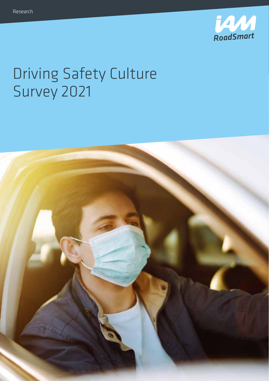

# Driving Safety Culture Survey 2021

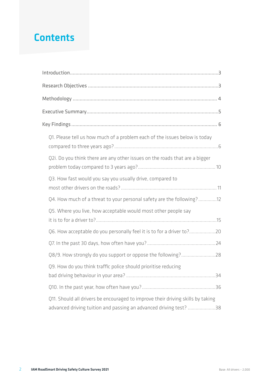### **Contents**

| Q1. Please tell us how much of a problem each of the issues below is today                                                                           |
|------------------------------------------------------------------------------------------------------------------------------------------------------|
| Q2i. Do you think there are any other issues on the roads that are a bigger                                                                          |
| Q3. How fast would you say you usually drive, compared to                                                                                            |
| Q4. How much of a threat to your personal safety are the following?12                                                                                |
| Q5. Where you live, how acceptable would most other people say                                                                                       |
| Q6. How acceptable do you personally feel it is to for a driver to?20                                                                                |
|                                                                                                                                                      |
| Q8/9. How strongly do you support or oppose the following?28                                                                                         |
| Q9. How do you think traffic police should prioritise reducing                                                                                       |
|                                                                                                                                                      |
| Q11. Should all drivers be encouraged to improve their driving skills by taking<br>advanced driving tuition and passing an advanced driving test? 38 |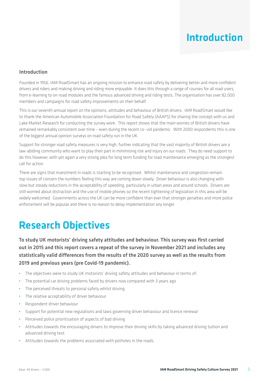### Introduction

#### Introduction

Founded in 1956, IAM RoadSmart has an ongoing mission to enhance road safety by delivering better and more confident drivers and riders and making driving and riding more enjoyable. It does this through a range of courses for all road users, from e-learning to on-road modules and the famous advanced driving and riding tests. The organisation has over 82,000 members and campaigns for road safety improvements on their behalf.

This is our seventh annual report on the opinions, attitudes and behaviour of British drivers. IAM RoadSmart would like to thank the American Automobile Association Foundation for Road Safety (AAAFS) for sharing the concept with us and Lake Market Research for conducting the survey work. This report shows that the main worries of British drivers have remained remarkably consistent over time – even during the recent co- vid pandemic. With 2000 respondents this is one of the biggest annual opinion surveys on road safety run in the UK.

Support for stronger road safety measures is very high, further indicating that the vast majority of British drivers are a law-abiding community who want to play their part in minimising risk and injury on our roads. They do need support to do this however, with yet again a very strong plea for long term funding for road maintenance emerging as the strongest call for action.

There are signs that investment in roads is starting to be recognised. Whilst maintenance and congestion remain top issues of concern the numbers feeling this way are coming down slowly. Driver behaviour is also changing with slow but steady reductions in the acceptability of speeding, particularly in urban areas and around schools. Drivers are still worried about distraction and the use of mobile phones so the recent tightening of legislation in this area will be widely welcomed. Governments across the UK can be more confident than ever that stronger penalties and more police enforcement will be popular and there is no reason to delay implementation any longer.

### Research Objectives

To study UK motorists' driving safety attitudes and behaviour. This survey was first carried out in 2015 and this report covers a repeat of the survey in November 2021 and includes any statistically valid differences from the results of the 2020 survey as well as the results from 2019 and previous years (pre Covid-19 pandemic).

- **•** The objectives were to study UK motorists' driving safety attitudes and behaviour in terms of:
- **•** The potential car driving problems faced by drivers now compared with 3 years ago
- **•** The perceived threats to personal safety whilst driving
- **•** The relative acceptability of driver behaviour
- **•** Respondent driver behaviour
- **•** Support for potential new regulations and laws governing driver behaviour and licence renewal
- **•** Perceived police prioritisation of aspects of bad driving
- **•** Attitudes towards the encouraging drivers to improve their driving skills by taking advanced driving tuition and advanced driving test
- **•** Attitudes towards the problems associated with potholes in the roads.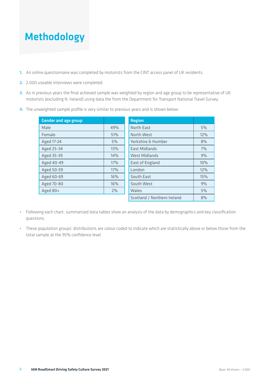### Methodology

- **1.** An online questionnaire was completed by motorists from the CINT access panel of UK residents.
- **2.** 2,000 useable interviews were completed.
- **3.** As in previous years the final achieved sample was weighted by region and age group to be representative of UK motorists (excluding N. Ireland) using data the from the Department for Transport National Travel Survey.
- **4.** The unweighted sample profile is very similar to previous years and is shown below:

| <b>Gender and age group</b> |     | <b>Region</b>                 |     |
|-----------------------------|-----|-------------------------------|-----|
| Male                        | 49% | <b>North East</b>             | 5%  |
| Female                      | 51% | North West                    | 12% |
| Aged 17-24                  | 5%  | <b>Yorkshire &amp; Humber</b> | 8%  |
| Aged 25-34                  | 13% | <b>East Midlands</b>          | 7%  |
| Aged 35-39                  | 14% | <b>West Midlands</b>          | 9%  |
| Aged 40-49                  | 17% | East of England               | 10% |
| Aged 50-59                  | 17% | London                        | 12% |
| Aged 60-69                  | 16% | South East                    | 15% |
| Aged 70-80                  | 16% | South West                    | 9%  |
| Aged 80+                    | 2%  | Wales                         | 5%  |
|                             |     | Scotland / Northern Ireland   | 8%  |

- **•** Following each chart, summarised data tables show an analysis of the data by demographics and key classification questions.
- **•** These population groups' distributions are colour coded to indicate which are statistically above or below those from the total sample at the 95% confidence level.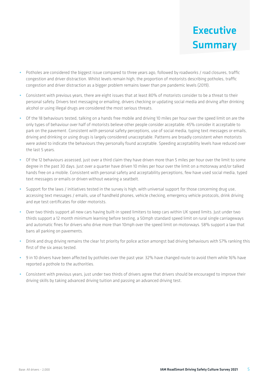### Executive Summary

- **•** Potholes are considered the biggest issue compared to three years ago, followed by roadworks / road closures, traffic congestion and driver distraction. Whilst levels remain high, the proportion of motorists describing potholes, traffic congestion and driver distraction as a bigger problem remains lower than pre pandemic levels (2019).
- **•** Consistent with previous years, there are eight issues that at least 80% of motorists consider to be a threat to their personal safety. Drivers text messaging or emailing, drivers checking or updating social media and driving after drinking alcohol or using illegal drugs are considered the most serious threats.
- **•** Of the 18 behaviours tested, talking on a hands free mobile and driving 10 miles per hour over the speed limit on are the only types of behaviour over half of motorists believe other people consider acceptable. 45% consider it acceptable to park on the pavement. Consistent with personal safety perceptions, use of social media, typing text messages or emails, driving and drinking or using drugs is largely considered unacceptable. Patterns are broadly consistent when motorists were asked to indicate the behaviours they personally found acceptable. Speeding acceptability levels have reduced over the last 5 years.
- **•** Of the 12 behaviours assessed, just over a third claim they have driven more than 5 miles per hour over the limit to some degree in the past 30 days. Just over a quarter have driven 10 miles per hour over the limit on a motorway and/or talked hands free on a mobile. Consistent with personal safety and acceptability perceptions, few have used social media, typed text messages or emails or driven without wearing a seatbelt.
- **•** Support for the laws / initiatives tested in the survey is high, with universal support for those concerning drug use, accessing text messages / emails, use of handheld phones, vehicle checking, emergency vehicle protocols, drink driving and eye test certificates for older motorists.
- **•** Over two thirds support all new cars having built-in speed limiters to keep cars within UK speed limits. Just under two thirds support a 12 month minimum learning before testing, a 50mph standard speed limit on rural single carriageways and automatic fines for drivers who drive more than 10mph over the speed limit on motorways. 58% support a law that bans all parking on pavements.
- **•** Drink and drug driving remains the clear 1st priority for police action amongst bad driving behaviours with 57% ranking this first of the six areas tested.
- **•** 9 in 10 drivers have been affected by potholes over the past year. 32% have changed route to avoid them while 16% have reported a pothole to the authorities.
- **•** Consistent with previous years, just under two thirds of drivers agree that drivers should be encouraged to improve their driving skills by taking advanced driving tuition and passing an advanced driving test.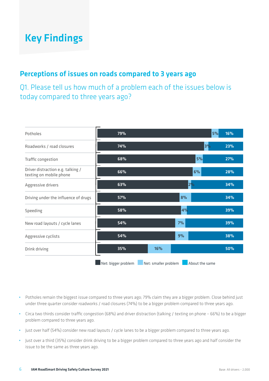#### Perceptions of issues on roads compared to 3 years ago

Q1. Please tell us how much of a problem each of the issues below is today compared to three years ago?

| Potholes                                                     | 79%                 |                      | 5%             | 16% |
|--------------------------------------------------------------|---------------------|----------------------|----------------|-----|
| Roadworks / road closures                                    | 74%                 |                      | 3%             | 23% |
| Traffic congestion                                           | 68%                 |                      | 5%             | 27% |
| Driver distraction e.g. talking /<br>texting on mobile phone | 66%                 |                      | 6%             | 28% |
| Aggressive drivers                                           | 63%                 | $2\%$                |                | 34% |
| Driving under the influence of drugs                         | 57%                 | 8%                   |                | 34% |
| Speeding                                                     | 58%                 | 4%                   |                | 39% |
| New road layouts / cycle lanes                               | 54%                 | 7%                   |                | 39% |
| Aggressive cyclists                                          | 54%                 | 9%                   |                | 38% |
| Drink driving                                                | 35%                 | 16%                  |                | 50% |
|                                                              | Net: bigger problem | Net: smaller problem | About the same |     |

- **•** Potholes remain the biggest issue compared to three years ago; 79% claim they are a bigger problem. Close behind just under three quarter consider roadworks / road closures (74%) to be a bigger problem compared to three years ago.
- **•** Circa two thirds consider traffic congestion (68%) and driver distraction (talking / texting on phone 66%) to be a bigger problem compared to three years ago.
- **•** Just over half (54%) consider new road layouts / cycle lanes to be a bigger problem compared to three years ago.
- **•** Just over a third (35%) consider drink driving to be a bigger problem compared to three years ago and half consider the issue to be the same as three years ago.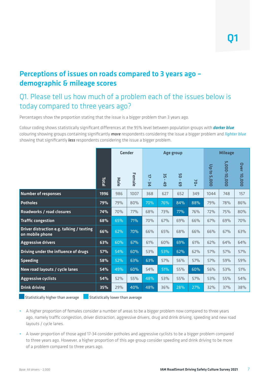#### Perceptions of issues on roads compared to 3 years ago – demographic & mileage scores

#### Q1. Please tell us how much of a problem each of the issues below is today compared to three years ago?

Percentages show the proportion stating that the issue is a bigger problem than 3 years ago.

Colour coding shows statistically significant differences at the 95% level between population groups with *darker blue* colouring showing groups containing significantly *more* respondents considering the issue a bigger problem and *lighter blue* showing that significantly *less* respondents considering the issue a bigger problem.

|                                                              |       | <b>Gender</b><br>Age group |        |                                     |                          |                      | <b>Mileage</b> |                |              |                    |  |
|--------------------------------------------------------------|-------|----------------------------|--------|-------------------------------------|--------------------------|----------------------|----------------|----------------|--------------|--------------------|--|
|                                                              | Total | Male                       | Female | $\overline{a}$<br>$\mathbf{L}$<br>ψ | 55<br>$\mathbf{L}$<br>49 | 50<br>×.<br><b>e</b> | $+01$          | Up to<br>5,000 | 5,000-10,000 | <b>Over 10,000</b> |  |
| <b>Number of responses</b>                                   | 1996  | 986                        | 1007   | 368                                 | 627                      | 652                  | 349            | 1044           | 748          | 157                |  |
| <b>Potholes</b>                                              | 79%   | 79%                        | 80%    | 70%                                 | 76%                      | 84%                  | 88%            | <b>79%</b>     | 78%          | 86%                |  |
| Roadworks / road closures                                    | 74%   | 70%                        | 77%    | 68%                                 | 73%                      | 77%                  | 76%            | 72%            | 75%          | 80%                |  |
| <b>Traffic congestion</b>                                    | 68%   | 65%                        | 71%    | 70%                                 | 67%                      | 69%                  | 66%            | 67%            | 69%          | 70%                |  |
| Driver distraction e.g. talking / texting<br>on mobile phone | 66%   | 62%                        | 70%    | 66%                                 | 65%                      | 68%                  | 66%            | 66%            | 67%          | 63%                |  |
| <b>Aggressive drivers</b>                                    | 63%   | 60%                        | 67%    | 61%                                 | 60%                      | 69%                  | 61%            | 62%            | 64%          | 64%                |  |
| Driving under the influence of drugs                         | 57%   | 54%                        | 60%    | 53%                                 | 53%                      | 62%                  | 62%            | 57%            | 57%          | 57%                |  |
| <b>Speeding</b>                                              | 58%   | 52%                        | 63%    | 63%                                 | 57%                      | 56%                  | 57%            | 57%            | 59%          | 59%                |  |
| New road layouts / cycle lanes                               | 54%   | 49%                        | 60%    | 54%                                 | 51%                      | 55%                  | 60%            | 56%            | 53%          | 51%                |  |
| <b>Aggressive cyclists</b>                                   | 54%   | 52%                        | 55%    | 48%                                 | 53%                      | 55%                  | 57%            | 53%            | 55%          | 54%                |  |
| <b>Drink driving</b>                                         | 35%   | 29%                        | 40%    | 48%                                 | 36%                      | 28%                  | 27%            | 32%            | 37%          | 38%                |  |

Statistically higher than average  $\Box$  Statistically lower than average

- **•** A higher proportion of females consider a number of areas to be a bigger problem now compared to three years ago, namely traffic congestion, driver distraction, aggressive drivers, drug and drink driving, speeding and new road layouts / cycle lanes.
- **•** A lower proportion of those aged 17-34 consider potholes and aggressive cyclists to be a bigger problem compared to three years ago. However, a higher proportion of this age group consider speeding and drink driving to be more of a problem compared to three years ago.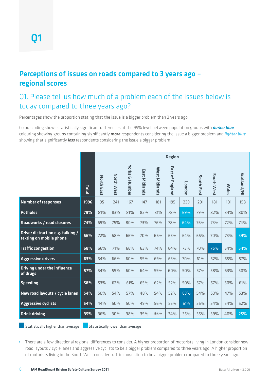#### Perceptions of issues on roads compared to 3 years ago – regional scores

#### Q1. Please tell us how much of a problem each of the issues below is today compared to three years ago?

Percentages show the proportion stating that the issue is a bigger problem than 3 years ago.

Colour coding shows statistically significant differences at the 95% level between population groups with *darker blue* colouring showing groups containing significantly *more* respondents considering the issue a bigger problem and *lighter blue* showing that significantly *less* respondents considering the issue a bigger problem.

|                                                              |       | Region            |            |                                     |               |               |                                               |        |            |            |              |            |
|--------------------------------------------------------------|-------|-------------------|------------|-------------------------------------|---------------|---------------|-----------------------------------------------|--------|------------|------------|--------------|------------|
|                                                              | Total | <b>North East</b> | North West | <b>Yorks</b><br><b>&amp; Humber</b> | East Midlands | West Midlands | m<br>iast<br>$\overline{a}$<br><b>England</b> | London | South East | South West | <b>Wales</b> | Scotland/N |
| <b>Number of responses</b>                                   | 1996  | 95                | 241        | 167                                 | 147           | 181           | 195                                           | 239    | 291        | 181        | 101          | 158        |
| <b>Potholes</b>                                              | 79%   | 81%               | 83%        | 81%                                 | 82%           | 81%           | 78%                                           | 69%    | 79%        | 82%        | 84%          | 80%        |
| <b>Roadworks / road closures</b>                             | 74%   | 69%               | 75%        | 80%                                 | 73%           | 76%           | 78%                                           | 64%    | 76%        | 73%        | 72%          | 74%        |
| Driver distraction e.g. talking /<br>texting on mobile phone | 66%   | 72%               | 68%        | 66%                                 | 70%           | 66%           | 63%                                           | 64%    | 65%        | 70%        | 73%          | 59%        |
| <b>Traffic congestion</b>                                    | 68%   | 66%               | 71%        | 66%                                 | 63%           | 74%           | 64%                                           | 73%    | 70%        | 75%        | 64%          | 54%        |
| <b>Aggressive drivers</b>                                    | 63%   | 64%               | 66%        | 60%                                 | 59%           | 69%           | 63%                                           | 70%    | 61%        | 62%        | 65%          | 57%        |
| Driving under the influence<br>of drugs                      | 57%   | 54%               | 59%        | 60%                                 | 64%           | 59%           | 60%                                           | 50%    | 57%        | 58%        | 63%          | 50%        |
| <b>Speeding</b>                                              | 58%   | 53%               | 62%        | 61%                                 | 65%           | 62%           | 52%                                           | 50%    | 57%        | 57%        | 60%          | 61%        |
| New road layouts / cycle lanes                               | 54%   | 50%               | 54%        | 57%                                 | 48%           | 54%           | 52%                                           | 63%    | 54%        | 53%        | 47%          | 53%        |
| <b>Aggressive cyclists</b>                                   | 54%   | 44%               | 50%        | 50%                                 | 49%           | 56%           | 55%                                           | 61%    | 55%        | 54%        | 54%          | 52%        |
| <b>Drink driving</b>                                         | 35%   | 36%               | 30%        | 38%                                 | 39%           | 36%           | 34%                                           | 35%    | 35%        | 39%        | 40%          | 25%        |

Statistically higher than average  $\Box$  Statistically lower than average

**•** There are a few directional regional differences to consider. A higher proportion of motorists living in London consider new road layouts / cycle lanes and aggressive cyclists to be a bigger problem compared to three years ago. A higher proportion of motorists living in the South West consider traffic congestion to be a bigger problem compared to three years ago.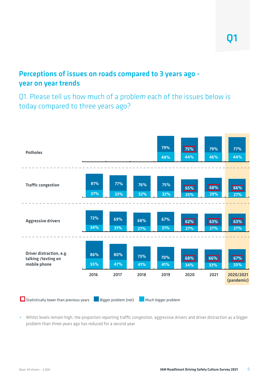#### Perceptions of issues on roads compared to 3 years ago year on year trends

Q1. Please tell us how much of a problem each of the issues below is today compared to three years ago?



• Whilst levels remain high, the proportion reporting traffic congestion, aggressive drivers and driver distraction as a bigger problem than three years ago has reduced for a second year.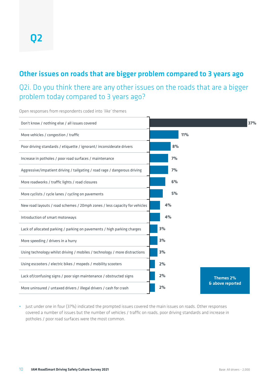#### Other issues on roads that are bigger problem compared to 3 years ago

Q2i. Do you think there are any other issues on the roads that are a bigger problem today compared to 3 years ago?

Open responses from respondents coded into *'like'* themes



**•** Just under one in four (37%) indicated the prompted issues covered the main issues on roads. Other responses covered a number of issues but the number of vehicles / traffic on roads, poor driving standards and increase in potholes / poor road surfaces were the most common.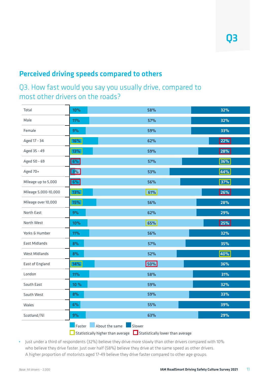#### Perceived driving speeds compared to others

#### Q3. How fast would you say you usually drive, compared to most other drivers on the roads?

| Total                | 10%                                | 58%                              | 32% |
|----------------------|------------------------------------|----------------------------------|-----|
| Male                 | 11%                                | 57%                              | 32% |
| Female               | 9%                                 | 59%                              | 33% |
| Aged 17 - 34         | 16%                                | 62%                              | 22% |
| Aged 35 - 49         | 13%                                | 59%                              | 28% |
| Aged 50 - 69         | 6%                                 | 57%                              | 36% |
| Aged 70+             | 3%                                 | 53%                              | 44% |
| Mileage up to 5,000  | 6%                                 | 56%                              | 37% |
| Mileage 5,000-10,000 | 13%                                | 61%                              | 26% |
| Mileage over 10,000  | 15%                                | 56%                              | 28% |
| North East           | 9%                                 | 62%                              | 29% |
| North West           | 10%                                | 65%                              | 25% |
| Yorks & Humber       | 11%                                | 56%                              | 32% |
| <b>East Midlands</b> | 8%                                 | 57%                              | 35% |
| West Midlands        | 8%                                 | 52%                              | 40% |
| East of England      | 14%                                | 50%                              | 36% |
| London               | 11%                                | 58%                              | 31% |
| South East           | 10 %                               | 59%                              | 32% |
| South West           | 8%                                 | 59%                              | 33% |
| Wales                | 6%                                 | 55%                              | 39% |
| Scotland/NI          | 9%                                 | 63%                              | 29% |
|                      | Faster<br>About the same<br>Slower |                                  |     |
|                      | Statistically higher than average  | Statistically lower than average |     |

**•** Just under a third of respondents (32%) believe they drive more slowly than other drivers compared with 10% who believe they drive faster. Just over half (58%) believe they drive at the same speed as other drivers. A higher proportion of motorists aged 17-49 believe they drive faster compared to other age groups.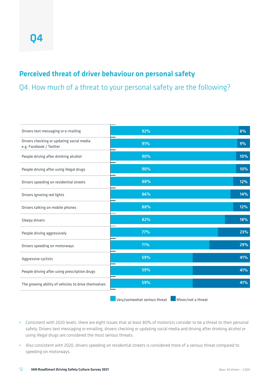#### Perceived threat of driver behaviour on personal safety

Q4. How much of a threat to your personal safety are the following?

| Drivers text messaging or e-mailing                                  | 92% | 8%  |
|----------------------------------------------------------------------|-----|-----|
| Drivers checking or updating social media<br>e.g. Facebook / Twitter | 91% | 9%  |
| People driving after drinking alcohol                                | 90% | 10% |
| People driving after using illegal drugs                             | 90% | 10% |
| Drivers speeding on residential streets                              | 88% | 12% |
| Drivers ignoring red lights                                          | 86% | 14% |
| Drivers talking on mobile phones                                     | 88% | 12% |
| Sleepy drivers                                                       | 82% | 18% |
| People driving aggressively                                          | 77% | 23% |
| Drivers speeding on motorways                                        | 71% | 29% |
| Aggressive cyclists                                                  | 59% | 41% |
| People driving after using prescription drugs                        | 59% | 41% |
| The growing ability of vehicles to drive themselves                  | 59% | 41% |
|                                                                      |     |     |

**Notative Serious threat Minor/not a threat** 

- **•** Consistent with 2020 levels, there are eight issues that at least 80% of motorists consider to be a threat to their personal safety. Drivers text messaging or emailing, drivers checking or updating social media and driving after drinking alcohol or using illegal drugs are considered the most serious threats.
- **•** Also consistent with 2020, drivers speeding on residential streets is considered more of a serious threat compared to speeding on motorways.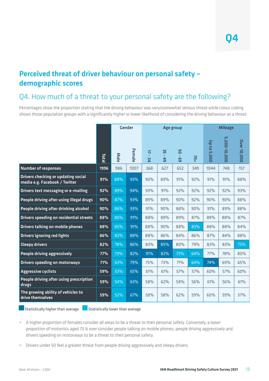#### Perceived threat of driver behaviour on personal safety – demographic scores

#### Q4. How much of a threat to your personal safety are the following?

Percentages show the proportion stating that the driving behaviour was very/somewhat serious threat while colour coding shows those population groups with a significantly higher or lower likelihood of considering the driving behaviour as a threat.

|                                                                      |                                  | <b>Gender</b> |        |                                            | Age group                           |          |       | <b>Mileage</b> |              |                    |  |
|----------------------------------------------------------------------|----------------------------------|---------------|--------|--------------------------------------------|-------------------------------------|----------|-------|----------------|--------------|--------------------|--|
|                                                                      | Total                            | Male          | Female | $\overline{a}$<br>$\mathbf{r}$<br><b>u</b> | ξE<br>$\mathbf{r}$<br>$\frac{4}{9}$ | 80<br>69 | $+02$ | Up to 5,000    | 5,000-10,000 | <b>Over 10,000</b> |  |
| <b>Number of responses</b>                                           | 1996                             | 986           | 1007   | 368                                        | 627                                 | 652      | 349   | 1044           | 748          | 157                |  |
| Drivers checking or updating social<br>media e.g. Facebook / Twitter | 91%                              | 88%           | 93%    | 90%                                        | 89%                                 | 91%      | 92%   | 91%            | 91%          | 88%                |  |
| Drivers text messaging or e-mailing                                  | 92%                              | 89%           | 94%    | 93%                                        | 91%                                 | 92%      | 92%   | 92%            | 92%          | 93%                |  |
| People driving after using illegal drugs                             | 90%                              | 87%           | 93%    | 89%                                        | 89%                                 | 90%      | 92%   | 90%            | 90%          | 88%                |  |
| People driving after drinking alcohol                                | 90%                              | 86%           | 93%    | 91%                                        | 90%                                 | 88%      | 90%   | 91%            | 89%          | 88%                |  |
| <b>Drivers speeding on residential streets</b>                       | 88%                              | 86%           | 91%    | 88%                                        | 89%                                 | 89%      | 87%   | 89%            | 88%          | 87%                |  |
| <b>Drivers talking on mobile phones</b>                              | 88%                              | 85%           | 91%    | 88%                                        | 90%                                 | 88%      | 83%   | 88%            | 88%          | 84%                |  |
| <b>Drivers ignoring red lights</b>                                   | 86%                              | 83%           | 88%    | 88%                                        | 86%                                 | 84%      | 86%   | 87%            | 84%          | 88%                |  |
| <b>Sleepy drivers</b>                                                | 82%                              | 78%           | 86%    | 83%                                        | 85%                                 | 80%      | 79%   | 83%            | 83%          | 75%                |  |
| People driving aggressively                                          | 77%                              | 73%           | 82%    | 91%                                        | 82%                                 | 73%      | 64%   | 77%            | 78%          | 80%                |  |
| <b>Drivers speeding on motorways</b>                                 | 71%                              | 63%           | 79%    | 75%                                        | 73%                                 | 71%      | 64%   | 74%            | 69%          | 65%                |  |
| <b>Aggressive cyclists</b>                                           | 59%                              | 53%           | 65%    | 61%                                        | 61%                                 | 57%      | 57%   | 60%            | 57%          | 60%                |  |
| People driving after using prescription<br>drugs                     | 59%                              | 54%           | 63%    | 58%                                        | 62%                                 | 58%      | 56%   | 61%            | 56%          | 61%                |  |
| The growing ability of vehicles to<br>drive themselves               | 59%                              | 52%           | 67%    | 58%                                        | 58%                                 | 62%      | 59%   | 60%            | 59%          | 57%                |  |
| Statistically higher than average                                    | Statistically lower than average |               |        |                                            |                                     |          |       |                |              |                    |  |

- **•** A higher proportion of females consider all areas to be a threat to their personal safety. Conversely, a lower proportion of motorists aged 70 & over consider people talking on mobile phones, people driving aggressively and drivers speeding on motorways to be a threat to their personal safety.
- **•** Drivers under 50 feel a greater threat from people driving aggressively and sleepy drivers.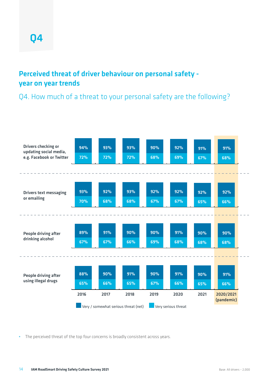#### Perceived threat of driver behaviour on personal safety year on year trends

Q4. How much of a threat to your personal safety are the following?



**•** The perceived threat of the top four concerns is broadly consistent across years.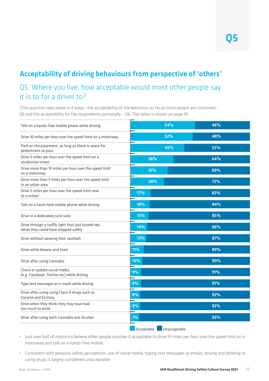#### Acceptability of driving behaviours from perspective of 'others'

#### Q5. Where you live, how acceptable would most other people say it is to for a driver to?

(This question was asked in 2 ways:- the acceptability of the behaviour as far as most people are concerned - Q5 and the acceptability for the respondents personally – Q6. The latter is shown on page 19.

| Talk on a hands-free mobile phone while driving                                            | 54% | 46% |
|--------------------------------------------------------------------------------------------|-----|-----|
| Drive 10 miles per hour over the speed limit on a motorway                                 | 52% | 48% |
| Park on the pavement, as long as there is space for<br>pedestrians to pass                 | 45% | 55% |
| Drive 5 miles per hour over the speed limit on a<br>residential street                     | 36% | 64% |
| Drive more than 10 miles per hour over the speed limit<br>on a motorway                    | 31% | 69% |
| Drive more than 5 miles per hour over the speed limit<br>in an urban area                  | 28% | 72% |
| Drive 5 miles per hour over the speed limit near<br>to a school                            | 17% | 83% |
| Talk on a hand-held mobile phone while driving                                             | 16% | 84% |
| Drive in a dedicated cycle lane                                                            | 15% | 85% |
| Drive through a traffic light that just turned red,<br>when they could have stopped safely | 14% | 86% |
| Drive without wearing their seatbelt                                                       | 13% | 87% |
| Drive while drowsy and tired                                                               | 11% | 89% |
| Drive after using Cannabis                                                                 | 10% | 90% |
| Check or update social media<br>(e.g. Facebook, Twitter etc) while driving                 | 9%  | 91% |
| Type text messages or e-mails while driving                                                | 9%  | 91% |
| Drive after using using Class A drugs such as<br>Cocaine and Ecstasy                       | 8%  | 92% |
| Drive when they think they may have had<br>too much to drink                               | 8%  | 92% |
| Drive after using both Cannabis and Alcohol                                                | 7%  | 93% |
|                                                                                            |     |     |

**Acceptable Unacceptable** 

- **•** Just over half of motorists believe other people consider it acceptable to drive 10 miles per hour over the speed limit on a motorway and talk on a hands-free mobile.
- **•** Consistent with personal safety perceptions, use of social media, typing text messages or emails, driving and drinking or using drugs is largely considered unacceptable.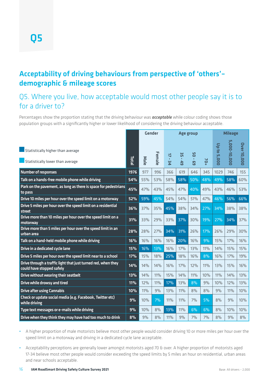#### Acceptability of driving behaviours from perspective of 'others'– demographic & mileage scores

#### Q5. Where you live, how acceptable would most other people say it is to for a driver to?

Percentages show the proportion stating that the driving behaviour was *acceptable* while colour coding shows those population groups with a significantly higher or lower likelihood of considering the driving behaviour acceptable.

|                                                                                            |              |      | <b>Gender</b> | Age group                            |                          |                                     | <b>Mileage</b> |             |              |                    |
|--------------------------------------------------------------------------------------------|--------------|------|---------------|--------------------------------------|--------------------------|-------------------------------------|----------------|-------------|--------------|--------------------|
| Statistically higher than average<br>Statistically lower than average                      | <b>Total</b> | Male | Female        | $\overline{a}$<br>$\mathbf{r}$<br>Σq | 35<br>$\mathbf{r}$<br>49 | <b>PD</b><br>$\mathbf{r}$<br>ო<br>მ | $+02$          | Up to 5,000 | 5,000-10,000 | <b>Over 10,000</b> |
| <b>Number of responses</b>                                                                 | 1976         | 977  | 996           | 366                                  | 619                      | 646                                 | 345            | 1029        | 746          | 155                |
| Talk on a hands-free mobile phone while driving                                            | 54%          | 55%  | 53%           | 58%                                  | 58%                      | 50%                                 | 48%            | 49%         | 58%          | 60%                |
| Park on the pavement, as long as there is space for pedestrians<br>to pass                 | 45%          | 47%  | 43%           | 45%                                  | 47%                      | 40%                                 | 49%            | 43%         | 46%          | 53%                |
| Drive 10 miles per hour over the speed limit on a motorway                                 | 52%          | 59%  | 45%           | 54%                                  | 54%                      | 51%                                 | 47%            | 46%         | 56%          | 66%                |
| Drive 5 miles per hour over the speed limit on a residential<br>street                     | 36%          | 37%  | 35%           | 45%                                  | 38%                      | 34%                                 | 27%            | 34%         | 38%          | 38%                |
| Drive more than 10 miles per hour over the speed limit on a<br>motorway                    | 31%          | 33%  | 29%           | 33%                                  | 37%                      | 30%                                 | 19%            | 27%         | 34%          | 37%                |
| Drive more than 5 miles per hour over the speed limit in an<br>urban area                  | 28%          | 28%  | 27%           | 34%                                  | 31%                      | 26%                                 | 17%            | 26%         | 29%          | 30%                |
| Talk on a hand-held mobile phone while driving                                             | 16%          | 16%  | 16%           | 16%                                  | 20%                      | 16%                                 | 9%             | 15%         | 17%          | 16%                |
| Drive in a dedicated cycle lane                                                            | 15%          | 16%  | 13%           | 16%                                  | 17%                      | 13%                                 | 11%            | 14%         | 15%          | 15%                |
| Drive 5 miles per hour over the speed limit near to a school                               | 17%          | 15%  | 18%           | 25%                                  | 18%                      | 16%                                 | 8%             | 16%         | 17%          | 19%                |
| Drive through a traffic light that just turned red, when they<br>could have stopped safely | 14%          | 14%  | 14%           | 16%                                  | 17%                      | 12%                                 | 11%            | 13%         | 15%          | 16%                |
| Drive without wearing their seatbelt                                                       | 13%          | 14%  | 11%           | 15%                                  | 14%                      | 11%                                 | 10%            | 11%         | 14%          | 13%                |
| Drive while drowsy and tired                                                               | 11%          | 12%  | 11%           | 17%                                  | 13%                      | 8%                                  | 9%             | 10%         | 12%          | 13%                |
| <b>Drive after using Cannabis</b>                                                          | 10%          | 11%  | 9%            | 13%                                  | 11%                      | 8%                                  | 8%             | 9%          | 11%          | 10%                |
| Check or update social media (e.g. Facebook, Twitter etc)<br>while driving                 | 9%           | 10%  | 7%            | 11%                                  | 11%                      | 7%                                  | 5%             | 8%          | 9%           | 10%                |
| Type text messages or e-mails while driving                                                | 9%           | 10%  | 8%            | 13%                                  | 11%                      | 6%                                  | 6%             | 8%          | 10%          | 10%                |
| Drive when they think they may have had too much to drink                                  | 8%           | 9%   | 8%            | 11%                                  | 9%                       | 7%                                  | 7%             | 8%          | 9%           | 8%                 |

**•** A higher proportion of male motorists believe most other people would consider driving 10 or more miles per hour over the speed limit on a motorway and driving in a dedicated cycle lane acceptable.

• Acceptability perceptions are generally lower amongst motorists aged 70 & over. A higher proportion of motorists aged 17-34 believe most other people would consider exceeding the speed limits by 5 miles an hour on residential, urban areas and near schools acceptable.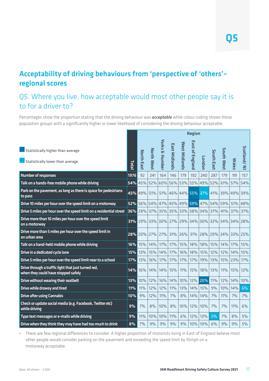### Acceptability of driving behaviours from 'perspective of 'others'– regional scores

#### Q5. Where you live, how acceptable would most other people say it is to for a driver to?

Percentages show the proportion stating that the driving behaviour was *acceptable* while colour coding shows those population groups with a significantly higher or lower likelihood of considering the driving behaviour acceptable.

|                                                                                            |       |                             |            |                           |               |               | <b>Region</b>             |             |            |             |              |             |
|--------------------------------------------------------------------------------------------|-------|-----------------------------|------------|---------------------------|---------------|---------------|---------------------------|-------------|------------|-------------|--------------|-------------|
| Statistically higher than average<br>Statistically lower than average                      | Total | <b>North East</b>           | North West | <b>Yorks &amp; Humber</b> | East Midlands | West Midlands | East of<br><b>England</b> | London      | South East | South West  | <b>Wales</b> | Scotland/NI |
| <b>Number of responses</b>                                                                 | 1976  | 92                          | 241        | 164                       | 146           | 179           | 192                       | 240         | 287        | 179         | 99           | 157         |
| Talk on a hands-free mobile phone while driving                                            | 54%   | 45%                         | 52%        |                           | 60% 56%       | 53%           |                           | 55% 49%     | 52%        | 61%         | 57%          | 54%         |
| Park on the pavement, as long as there is space for pedestrians<br>to pass                 |       | 45% 49%                     | 51%        | 51%                       |               |               | 46% 44% 55% 37%           |             | 41%        | 39%         | 49%          | 39%         |
| Drive 10 miles per hour over the speed limit on a motorway                                 |       | 52% 56% 54% 47% 45% 49% 59% |            |                           |               |               |                           |             |            | 47% 54% 59% | 51%          | 48%         |
| Drive 5 miles per hour over the speed limit on a residential street                        |       | 36% 28%                     |            |                           | 37% 35% 35%   |               |                           | 33% 38% 34% | 37%        | 41%         | 37%          | 37%         |
| Drive more than 10 miles per hour over the speed limit<br>on a motorway                    |       | <b>31%</b> 29%              |            | 33% 30%                   | 27%           |               |                           | 29% 34% 30% | 32%        |             | 34% 34%      | 28%         |
| Drive more than 5 miles per hour over the speed limit in<br>an urban area                  |       | 28% 20%                     | 27%        | 27%                       | 31%           | 26%           | 31%                       | 28%         | 29%        | 24%         | 133%         | 25%         |
| Talk on a hand-held mobile phone while driving                                             | 16%   | 15%                         | 14%        | 17%                       | 17%           | 15%           | 18%                       | 18%         | 15%        | 14%         | 17%          | 15%         |
| Drive in a dedicated cycle lane                                                            | 15%   | 13%                         | 15%        | 14%                       | 17%           | 16%           | 18%                       | 15%         | 12%        | 12%         | 14%          | 15%         |
| Drive 5 miles per hour over the speed limit near to a school                               | 17%   | 13%                         | 16%        | 17%                       | 17%           | 17%           | 17%                       | 19%         | 13%        | 15%         | 23%          | 17%         |
| Drive through a traffic light that just turned red,<br>when they could have stopped safely | 14%   | 16%                         | 14%        | 14%                       | 15%           | 11%           | 15%                       | 18%         | 13%        | 11%         | 15%          | 12%         |
| Drive without wearing their seatbelt                                                       | 13%   | 10%                         | 12%        | 16%                       | 14%           | 10%           | 12%                       | 20%         | 11%        | 12%         | 14%          | 10%         |
| Drive while drowsy and tired                                                               | 11%   | 11%                         | 12%        | 12%                       | 11%           | 13%           | 14%                       | 15%         | 9%         | 10%         | 14%          | 6%          |
| <b>Drive after using Cannabis</b>                                                          | 10%   | 9%                          | 12%        | 11%                       | 7%            | 8%            | 14%                       | 14%         | 7%         | 11%         | 7%           | 7%          |
| Check or update social media (e.g. Facebook, Twitter etc)<br>while driving                 | 9%    | 7%                          | 8%         | 10%                       | 8%            | 10%           | 12%                       | 10%         | 7%         | 7%          | 11%          | 6%          |
| Type text messages or e-mails while driving                                                | 9%    | 11%                         | 10%        | 10%                       | 11%           | 6%            | 12%                       | 13%         | 5%         | 7%          | 8%           | 5%          |
| Drive when they think they may have had too much to drink                                  | 8%    | 7%                          | 9%         | 9%                        | 9%            | 9%            | 10%                       | 10%         | 6%         | 9%          | 9%           | 5%          |

**•** There are few regional differences to consider. A higher proportion of motorists living in East of England believe most other people would consider parking on the pavement and exceeding the speed limit by 10mph on a motorway acceptable.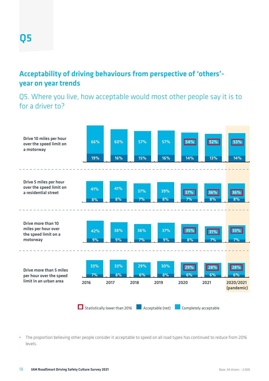#### Acceptability of driving behaviours from perspective of 'others' year on year trends

Q5. Where you live, how acceptable would most other people say it is to for a driver to?



**•** The proportion believing other people consider it acceptable to speed on all road types has continued to reduce from 2016 levels.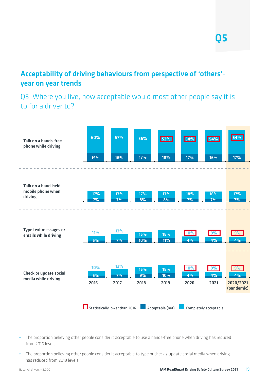#### Acceptability of driving behaviours from perspective of 'others' year on year trends

Q5. Where you live, how acceptable would most other people say it is to for a driver to?



- **•** The proportion believing other people consider it acceptable to use a hands-free phone when driving has reduced from 2016 levels.
- **•** The proportion believing other people consider it acceptable to type or check / update social media when driving has reduced from 2019 levels.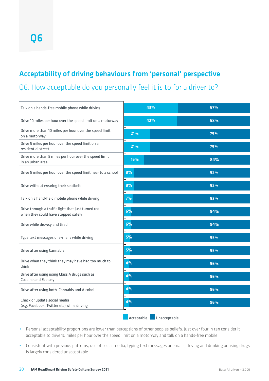### Acceptability of driving behaviours from 'personal' perspective

Q6. How acceptable do you personally feel it is to for a driver to?

| Talk on a hands-free mobile phone while driving                                            | 43%                        | 57% |
|--------------------------------------------------------------------------------------------|----------------------------|-----|
| Drive 10 miles per hour over the speed limit on a motorway                                 | 42%                        | 58% |
| Drive more than 10 miles per hour over the speed limit<br>on a motorway                    | 21%                        | 79% |
| Drive 5 miles per hour over the speed limit on a<br>residential street                     | 21%                        | 79% |
| Drive more than 5 miles per hour over the speed limit<br>in an urban area                  | 16%                        | 84% |
| Drive 5 miles per hour over the speed limit near to a school                               | 8%                         | 92% |
| Drive without wearing their seatbelt                                                       | 8%                         | 92% |
| Talk on a hand-held mobile phone while driving                                             | 7%                         | 93% |
| Drive through a traffic light that just turned red,<br>when they could have stopped safely | 6%                         | 94% |
| Drive while drowsy and tired                                                               | 6%                         | 94% |
| Type text messages or e-mails while driving                                                | 5%                         | 95% |
| Drive after using Cannabis                                                                 | 5%                         | 95% |
| Drive when they think they may have had too much to<br>drink                               | 4%                         | 96% |
| Drive after using using Class A drugs such as<br>Cocaine and Ecstasy                       | 4%                         | 96% |
| Drive after using both Cannabis and Alcohol                                                | 4%                         | 96% |
| Check or update social media<br>(e.g. Facebook, Twitter etc) while driving                 | 4%                         | 96% |
|                                                                                            | Acceptable<br>Unacceptable |     |

- **•** Personal acceptability proportions are lower than perceptions of other peoples beliefs. Just over four in ten consider it acceptable to drive 10 miles per hour over the speed limit on a motorway and talk on a hands-free mobile.
- **•** Consistent with previous patterns, use of social media, typing text messages or emails, driving and drinking or using drugs is largely considered unacceptable.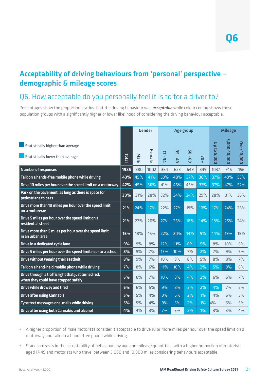#### Acceptability of driving behaviours from 'personal' perspective – demographic & mileage scores

#### Q6. How acceptable do you personally feel it is to for a driver to?

Percentages show the proportion stating that the driving behaviour was *acceptable* while colour coding shows those population groups with a significantly higher or lower likelihood of considering the driving behaviour acceptable.

|                                                                                            |       |      | Gender |                         | Age group                             |                         |       | <b>Mileage</b> |              |             |  |
|--------------------------------------------------------------------------------------------|-------|------|--------|-------------------------|---------------------------------------|-------------------------|-------|----------------|--------------|-------------|--|
| Statistically higher than average<br>Statistically lower than average                      | Total | Male | Female | 4<br>$\mathbf{r}$<br>Σq | ξ£<br>$\mathbf{L}$<br>$\overline{49}$ | 90<br>$\mathbf{r}$<br>ဌ | $+02$ | Up to 5,000    | 5,000-10,000 | Over 10,000 |  |
| <b>Number of responses</b>                                                                 | 1985  | 980  | 1002   | 364                     | 623                                   | 649                     | 349   | 1037           | 745          | 156         |  |
| Talk on a hands-free mobile phone while driving                                            | 43%   | 45%  | 41%    | 53%                     | 48%                                   | 37%                     | 36%   | 37%            | 49%          | 53%         |  |
| Drive 10 miles per hour over the speed limit on a motorway                                 | 42%   | 49%  | 36%    | 41%                     | 46%                                   | 43%                     | 37%   | 37%            | 47%          | 52%         |  |
| Park on the pavement, as long as there is space for<br>pedestrians to pass                 | 30%   | 31%  | 28%    | 32%                     | 34%                                   | 24%                     | 29%   | 28%            | 31%          | 36%         |  |
| Drive more than 10 miles per hour over the speed limit<br>on a motorway                    | 21%   | 24%  | 17%    | 22%                     | 27%                                   | 19%                     | 10%   | 17%            | 24%          | 26%         |  |
| Drive 5 miles per hour over the speed limit on a<br>residential street                     | 21%   | 22%  | 20%    | 27%                     | 26%                                   | 18%                     | 14%   | 18%            | 25%          | 24%         |  |
| Drive more than 5 miles per hour over the speed limit<br>in an urban area                  | 16%   | 18%  | 15%    | 22%                     | 20%                                   | 14%                     | 9%    | 14%            | 19%          | 15%         |  |
| Drive in a dedicated cycle lane                                                            | 9%    | 9%   | 8%     | 12%                     | 11%                                   | 6%                      | 5%    | 8%             | 10%          | 6%          |  |
| Drive 5 miles per hour over the speed limit near to a school                               | 8%    | 9%   | 7%     | 13%                     | 10%                                   | 7%                      | 2%    | 7%             | 9%           | 9%          |  |
| Drive without wearing their seatbelt                                                       | 8%    | 9%   | 7%     | 10%                     | 9%                                    | 8%                      | 5%    | 8%             | 8%           | 7%          |  |
| Talk on a hand-held mobile phone while driving                                             | 7%    | 8%   | 6%     | 11%                     | 10%                                   | 4%                      | 2%    | 5%             | 9%           | 6%          |  |
| Drive through a traffic light that just turned red,<br>when they could have stopped safely | 6%    | 6%   | 7%     | 10%                     | 8%                                    | 4%                      | 2%    | 6%             | 6%           | 7%          |  |
| Drive while drowsy and tired                                                               | 6%    | 6%   | 5%     | 9%                      | 8%                                    | 3%                      | 2%    | 4%             | 7%           | 5%          |  |
| <b>Drive after using Cannabis</b>                                                          | 5%    | 5%   | 4%     | 9%                      | 6%                                    | 2%                      | $1\%$ | 4%             | 6%           | 3%          |  |
| Type text messages or e-mails while driving                                                | 5%    | 5%   | 4%     | 9%                      | 6%                                    | 2%                      | 1%    | 4%             | 5%           | 5%          |  |
| Drive after using both Cannabis and alcohol                                                | 4%    | 4%   | 3%     | 7%                      | 5%                                    | 2%                      | 1%    | 3%             | 3%           | 4%          |  |

- **•** A higher proportion of male motorists consider it acceptable to drive 10 or more miles per hour over the speed limit on a motorway and talk on a hands-free phone while driving.
- **•** Stark contrasts in the acceptability of behaviours by age and mileage quantities, with a higher proportion of motorists aged 17-49 and motorists who travel between 5,000 and 10,000 miles considering behaviours acceptable.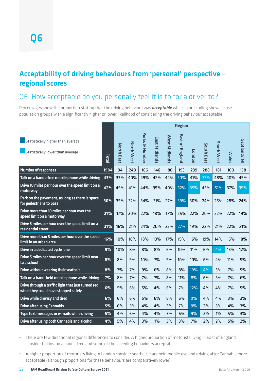#### Acceptability of driving behaviours from 'personal' perspective – regional scores

#### Q6. How acceptable do you personally feel it is to for a driver to?

Percentages show the proportion stating that the driving behaviour was *acceptable* while colour coding shows those population groups with a significantly higher or lower likelihood of considering the driving behaviour acceptable.

|                                                                                            |       | <b>Region</b>     |                   |                                     |                      |               |                           |        |            |            |              |              |
|--------------------------------------------------------------------------------------------|-------|-------------------|-------------------|-------------------------------------|----------------------|---------------|---------------------------|--------|------------|------------|--------------|--------------|
| Statistically higher than average<br>Statistically lower than average                      | Total | <b>North East</b> | <b>North West</b> | <b>Yorks</b><br><b>&amp; Humber</b> | <b>East Midlands</b> | West Midlands | East of<br><b>England</b> | London | South East | South West | <b>Wales</b> | Scotland/ NI |
| <b>Number of responses</b>                                                                 | 1984  | 94                | 240               | 166                                 | 146                  | 180           | 193                       | 239    | 288        | 181        | 100          | 158          |
| Talk on a hands-free mobile phone while driving                                            | 43%   | 33%               | 40%               | 49%                                 | 42%                  | 44%           | 50%                       | 41%    | 37%        | 48%        | 40%          | 45%          |
| Drive 10 miles per hour over the speed limit on a<br>motorway                              | 42%   | 49%               | 41%               | 44%                                 | 39%                  | 40%           | 52%                       | 35%    | 45%        | 51%        | 37%          | 35%          |
| Park on the pavement, as long as there is space<br>for pedestrians to pass                 | 30%   | 35%               | 32%               | 34%                                 | 31%                  | 27%           | 39%                       | 30%    | 24%        | 25%        | 28%          | 24%          |
| Drive more than 10 miles per hour over the<br>speed limit on a motorway                    | 21%   | 17%               | 20%               | 22%                                 | 18%                  | 17%           | 25%                       | 22%    | 20%        | 22%        | 22%          | 19%          |
| Drive 5 miles per hour over the speed limit on a<br>residential street                     | 21%   | 16%               | 21%               | 24%                                 | 20%                  | 22%           | 27%                       | 19%    | 22%        | 21%        | 22%          | 21%          |
| Drive more than 5 miles per hour over the speed<br>limit in an urban area                  | 16%   | 10%               | 16%               | 18%                                 | 13%                  | 17%           | 19%                       | 16%    | 19%        | 14%        | 16%          | 18%          |
| Drive in a dedicated cycle lane                                                            | 9%    | 10%               | 8%                | 8%                                  | 8%                   | 6%            | 10%                       | 11%    | 6%         | 4%         | 13%          | 12%          |
| Drive 5 miles per hour over the speed limit near<br>to a school                            | 8%    | 8%                | 9%                | 10%                                 | 7%                   | 9%            | 10%                       | 10%    | 6%         | 4%         | 11%          | 5%           |
| Drive without wearing their seatbelt                                                       | 8%    | 7%                | 7%                | 9%                                  | 6%                   | 8%            | 8%                        | 19%    | 4%         | 5%         | 7%           | 5%           |
| Talk on a hand-held mobile phone while driving                                             | 7%    | 8%                | 7%                | 7%                                  | 7%                   | 8%            | 11%                       | 8%     | 6%         | 3%         | 7%           | 6%           |
| Drive through a traffic light that just turned red,<br>when they could have stopped safely | 6%    | 5%                | 6%                | 5%                                  | 4%                   | 6%            | 7%                        | 12%    | 4%         | 4%         | 7%           | 5%           |
| <b>Drive while drowsy and tired</b>                                                        | 6%    | 6%                | 6%                | 5%                                  | 6%                   | 6%            | 6%                        | 9%     | 4%         | 4%         | 3%           | 3%           |
| <b>Drive after using Cannabis</b>                                                          | 5%    | 6%                | 5%                | 4%                                  | 4%                   | 3%            | 7%                        | 9%     | 2%         | 3%         | 4%           | 3%           |
| Type text messages or e-mails while driving                                                | 5%    | 4%                | 6%                | 4%                                  | 4%                   | 3%            | 6%                        | 9%     | 2%         | $1\%$      | 5%           | 3%           |
| Drive after using both Cannabis and alcohol                                                | 4%    | 5%                | 4%                | 3%                                  | $1\%$                | 3%            | 3%                        | 7%     | 2%         | 2%         | 5%           | 2%           |

**•** There are few directional regional differences to consider. A higher proportion of motorists living in East of England consider talking on a hands-free and some of the speeding behaviours acceptable.

**•** A higher proportion of motorists living in London consider seatbelt, handheld mobile use and driving after Cannabis more acceptable (although proportions for these behaviours are comparatively lower).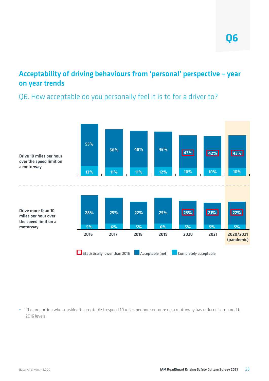#### Acceptability of driving behaviours from 'personal' perspective – year on year trends

#### Q6. How acceptable do you personally feel it is to for a driver to?



**•** The proportion who consider it acceptable to speed 10 miles per hour or more on a motorway has reduced compared to 2016 levels.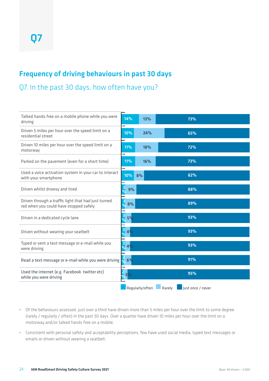#### Frequency of driving behaviours in past 30 days

Q7. In the past 30 days, how often have you?

| Talked hands free on a mobile phone while you were<br>driving                                 | 14%                  | 13%             |        | 73%               |  |
|-----------------------------------------------------------------------------------------------|----------------------|-----------------|--------|-------------------|--|
| Driven 5 miles per hour over the speed limit on a<br>residential street                       | 10%                  | 24%             |        | 65%               |  |
| Driven 10 miles per hour over the speed limit on a<br>motorway                                | 11%                  | 18%             |        | 72%               |  |
| Parked on the pavement (even for a short time)                                                | 11%                  | 16%             |        | 73%               |  |
| Used a voice activation system in your car to interact<br>with your smartphone                | 10%                  | 8%              |        | 82%               |  |
| Driven whilst drowsy and tired                                                                | $\frac{3}{\%}$<br>9% |                 |        | 88%               |  |
| Driven through a traffic light that had just turned<br>red when you could have stopped safely | $\frac{3}{2}$<br>8%  |                 |        | 89%               |  |
| Driven in a dedicated cycle lane                                                              | $\frac{3}{\%}$<br>5% |                 |        | 93%               |  |
| Driven without wearing your seatbelt                                                          | $\frac{3}{\%}$<br>4% |                 |        | 93%               |  |
| Typed or sent a text message or e-mail while you<br>were driving                              | $\frac{3}{\%}$<br>4% |                 |        | 93%               |  |
| Read a text message or e-mail while you were driving $\int_0^1 6\%$                           |                      |                 |        | 91%               |  |
| Used the internet (e.g. Facebook twitter etc)<br>while you were driving                       | $\frac{2}{\%}3\%$    |                 |        | 95%               |  |
|                                                                                               |                      | Regularly/often | Rarely | Just once / never |  |

- **•** Of the behaviours assessed, just over a third have driven more than 5 miles per hour over the limit to some degree (rarely / regularly / often) in the past 30 days. Over a quarter have driven 10 miles per hour over the limit on a motorway and/or talked hands free on a mobile.
- **•** Consistent with personal safety and acceptability perceptions, few have used social media, typed text messages or emails or driven without wearing a seatbelt.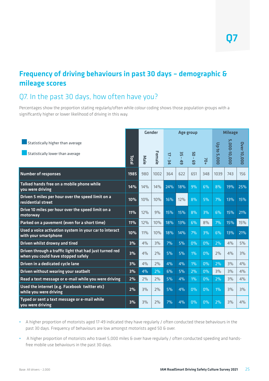#### Frequency of driving behaviours in past 30 days – demographic & mileage scores

#### Q7. In the past 30 days, how often have you?

Percentages show the proportion stating regularly/often while colour coding shows those population groups with a significantly higher or lower likelihood of driving in this way.

|                                                                                               |             | Gender |        | Age group    |                          |                         |       | <b>Mileage</b> |              |                    |  |
|-----------------------------------------------------------------------------------------------|-------------|--------|--------|--------------|--------------------------|-------------------------|-------|----------------|--------------|--------------------|--|
| Statistically higher than average<br>Statistically lower than average                         | <b>Lota</b> | Male   | Female | $17 -$<br>Σq | 55<br>$\mathbf{L}$<br>49 | 90<br>$\mathbf{r}$<br>ဌ | $+0/$ | Up to 5,000    | 5,000-10,000 | <b>Over 10,000</b> |  |
| <b>Number of responses</b>                                                                    | 1985        | 980    | 1002   | 364          | 622                      | 651                     | 348   | 1039           | 743          | 156                |  |
| Talked hands free on a mobile phone while<br>you were driving                                 | 14%         | 14%    | 14%    | 24%          | 18%                      | 9%                      | 6%    | 8%             | 19%          | 25%                |  |
| Driven 5 miles per hour over the speed limit on a<br>residential street                       | 10%         | 10%    | 10%    | 16%          | 12%                      | 8%                      | 5%    | 7%             | 13%          | 15%                |  |
| Drive 10 miles per hour over the speed limit on a<br>motorway                                 | 11%         | 12%    | 9%     | 15%          | 15%                      | 8%                      | 3%    | 6%             | 15%          | 21%                |  |
| Parked on a pavement (even for a short time)                                                  | 11%         | 12%    | 10%    | 18%          | 13%                      | 6%                      | 8%    | 7%             | 15%          | 15%                |  |
| Used a voice activation system in your car to interact<br>with your smartphone                | 10%         | 11%    | 10%    | 18%          | 14%                      | 7%                      | 3%    | 6%             | 13%          | 21%                |  |
| Driven whilst drowsy and tired                                                                | 3%          | 4%     | 3%     | 7%           | 5%                       | 0%                      | 0%    | 2%             | 4%           | 5%                 |  |
| Driven through a traffic light that had just turned red<br>when you could have stopped safely | 3%          | 4%     | 2%     | 5%           | 5%                       | $1\%$                   | 0%    | 2%             | 4%           | 3%                 |  |
| Driven in a dedicated cycle lane                                                              | 3%          | 4%     | 2%     | 4%           | 4%                       | $1\%$                   | $0\%$ | 2%             | 3%           | 4%                 |  |
| <b>Driven without wearing your seatbelt</b>                                                   | 3%          | 4%     | 2%     | 6%           | 5%                       | 2%                      | 0%    | 3%             | 3%           | 4%                 |  |
| Read a text message or e-mail while you were driving                                          | 2%          | 2%     | 2%     | 5%           | 4%                       | $1\%$                   | 0%    | 2%             | 3%           | 4%                 |  |
| Used the internet (e.g. Facebook twitter etc)<br>while you were driving                       | 2%          | 3%     | 2%     | 5%           | 4%                       | 0%                      | 0%    | $1\%$          | 3%           | 3%                 |  |
| Typed or sent a text message or e-mail while<br>you were driving                              | 3%          | 3%     | 2%     | 7%           | 4%                       | $\overline{0}$ %        | 0%    | 2%             | 3%           | 4%                 |  |

- **•** A higher proportion of motorists aged 17-49 indicated they have regularly / often conducted these behaviours in the past 30 days. Frequency of behaviours are low amongst motorists aged 50 & over.
- **•** A higher proportion of motorists who travel 5,000 miles & over have regularly / often conducted speeding and handsfree mobile use behaviours in the past 30 days.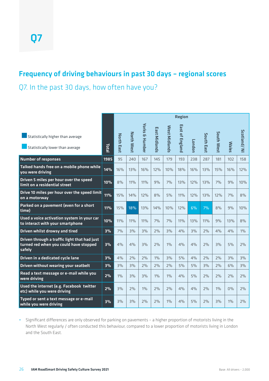#### Frequency of driving behaviours in past 30 days – regional scores

Q7. In the past 30 days, how often have you?

|                                                                                                  |       |                   |                   |                           |               |              | <b>Region</b> |        |            |            |              |              |
|--------------------------------------------------------------------------------------------------|-------|-------------------|-------------------|---------------------------|---------------|--------------|---------------|--------|------------|------------|--------------|--------------|
| Statistically higher than average                                                                |       | <b>North East</b> | <b>North West</b> | <b>Yorks &amp; Humber</b> | East Midlands | West Midland | East of       |        | South East | South West |              | Scotland/ NI |
| Statistically lower than average                                                                 | Total |                   |                   |                           |               |              | F England     | London |            |            | <b>Wales</b> |              |
| <b>Number of responses</b>                                                                       | 1985  | 95                | 240               | 167                       | 145           | 179          | 193           | 238    | 287        | 181        | 102          | 158          |
| Talked hands free on a mobile phone while<br>you were driving                                    | 14%   | 16%               | 13%               | 16%                       | 12%           | 10%          | 18%           | 16%    | 13%        | 15%        | 16%          | 12%          |
| Driven 5 miles per hour over the speed<br>limit on a residential street                          | 10%   | 8%                | 11%               | 11%                       | 9%            | 7%           | 13%           | 12%    | 13%        | 7%         | 9%           | 10%          |
| Drive 10 miles per hour over the speed limit<br>on a motorway                                    | 11%   | 15%               | 14%               | 12%                       | 8%            | 5%           | 11%           | 12%    | 13%        | 12%        | 7%           | 8%           |
| Parked on a pavement (even for a short<br>time)                                                  | 11%   | 15%               | 18%               | 13%                       | 14%           | 10%          | 12%           | 6%     | 7%         | 8%         | 9%           | 10%          |
| Used a voice activation system in your car<br>to interact with your smartphone                   | 10%   | 11%               | 11%               | 11%                       | 7%            | 7%           | <b>11%</b>    | 13%    | 11%        | 9%         | 13%          | 8%           |
| Driven whilst drowsy and tired                                                                   | 3%    | 7%                | 3%                | 3%                        | 2%            | 3%           | 4%            | 3%     | 2%         | 4%         | 4%           | $1\%$        |
| Driven through a traffic light that had just<br>turned red when you could have stopped<br>safely | 3%    | 4%                | 4%                | 3%                        | 2%            | $1\%$        | 4%            | 4%     | 2%         | 3%         | 5%           | 2%           |
| Driven in a dedicated cycle lane                                                                 | 3%    | 4%                | 2%                | 2%                        | $1\%$         | 3%           | 5%            | 4%     | 2%         | 2%         | 3%           | 3%           |
| Driven without wearing your seatbelt                                                             | 3%    | 3%                | 3%                | 2%                        | 2%            | 2%           | 5%            | 5%     | 3%         | 2%         | 6%           | 3%           |
| Read a text message or e-mail while you<br>were driving                                          | 2%    | $1\%$             | 3%                | 3%                        | $1\%$         | $1\%$        | 4%            | 5%     | 2%         | 2%         | 2%           | 2%           |
| Used the internet (e.g. Facebook twitter<br>etc) while you were driving                          | 2%    | 3%                | 2%                | $1\%$                     | 2%            | 2%           | 4%            | 4%     | 2%         | $1\%$      | $0\%$        | 2%           |
| Typed or sent a text message or e-mail<br>while you were driving                                 | 3%    | 3%                | 3%                | 2%                        | 2%            | $1\%$        | 4%            | 5%     | 2%         | 3%         | $1\%$        | 2%           |

**•** Significant differences are only observed for parking on pavements – a higher proportion of motorists living in the North West regularly / often conducted this behaviour, compared to a lower proportion of motorists living in London and the South East.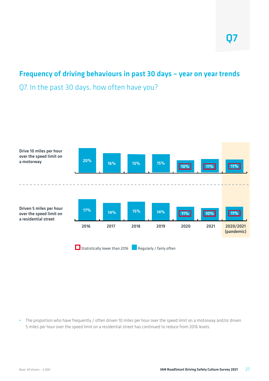#### Frequency of driving behaviours in past 30 days – year on year trends

Q7. In the past 30 days, how often have you?



**•** The proportion who have frequently / often driven 10 miles per hour over the speed limit on a motorway and/or driven 5 miles per hour over the speed limit on a residential street has continued to reduce from 2016 levels.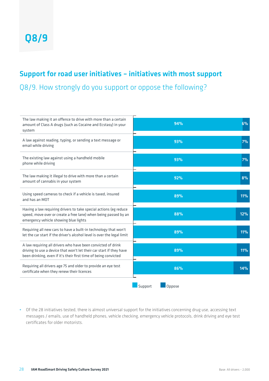#### Support for road user initiatives – initiatives with most support

Q8/9. How strongly do you support or oppose the following?

| The law making it an offence to drive with more than a certain<br>amount of Class A drugs (such as Cocaine and Ecstasy) in your<br>system                                                              | 94%               | 6%  |
|--------------------------------------------------------------------------------------------------------------------------------------------------------------------------------------------------------|-------------------|-----|
| A law against reading, typing, or sending a text message or<br>email while driving                                                                                                                     | 93%               | 7%  |
| The existing law against using a handheld mobile<br>phone while driving                                                                                                                                | 93%               | 7%  |
| The law making it illegal to drive with more than a certain<br>amount of cannabis in your system                                                                                                       | 92%               | 8%  |
| Using speed cameras to check if a vehicle is taxed, insured<br>and has an MOT                                                                                                                          | 89%               | 11% |
| Having a law requiring drivers to take special actions (eg reduce<br>speed, move over or create a free lane) when being passed by an<br>emergency vehicle showing blue lights                          | 88%               | 12% |
| Requiring all new cars to have a built-in technology that won't<br>let the car start if the driver's alcohol level is over the legal limit                                                             | 89%               | 11% |
| A law requiring all drivers who have been convicted of drink<br>driving to use a device that won't let their car start if they have<br>been drinking, even if it's their first time of being convicted | 89%               | 11% |
| Requiring all drivers age 75 and older to provide an eye test<br>certificate when they renew their licences                                                                                            | 86%               | 14% |
|                                                                                                                                                                                                        | Support<br>Oppose |     |

**•** Of the 28 initiatives tested, there is almost universal support for the initiatives concerning drug use, accessing text messages / emails, use of handheld phones, vehicle checking, emergency vehicle protocols, drink driving and eye test certificates for older motorists.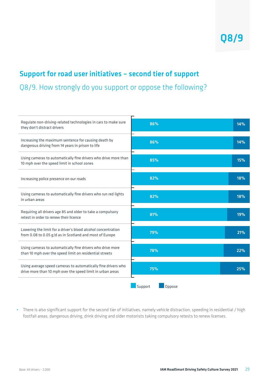#### Support for road user initiatives – second tier of support

Q8/9. How strongly do you support or oppose the following?

| Regulate non-driving-related technologies in cars to make sure<br>they don't distract drivers                               | 86%               | 14% |
|-----------------------------------------------------------------------------------------------------------------------------|-------------------|-----|
| Increasing the maximum sentence for causing death by<br>dangerous driving from 14 years in prison to life                   | 86%               | 14% |
| Using cameras to automatically fine drivers who drive more than<br>10 mph over the speed limit in school zones              | 85%               | 15% |
| Increasing police presence on our roads                                                                                     | 82%               | 18% |
| Using cameras to automatically fine drivers who run red lights<br>in urban areas                                            | 82%               | 18% |
| Requiring all drivers age 85 and older to take a compulsory<br>retest in order to renew their licence                       | 81%               | 19% |
| Lowering the limit for a driver's blood alcohol concentration<br>from 0.08 to 0.05 g/d as in Scotland and most of Europe    | 79%               | 21% |
| Using cameras to automatically fine drivers who drive more<br>than 10 mph over the speed limit on residential streets       | 78%               | 22% |
| Using average speed cameras to automatically fine drivers who<br>drive more than 10 mph over the speed limit in urban areas | 75%               | 25% |
|                                                                                                                             | Support<br>Oppose |     |

**•** There is also significant support for the second tier of initiatives, namely vehicle distraction, speeding in residential / high footfall areas, dangerous driving, drink driving and older motorists taking compulsory retests to renew licenses.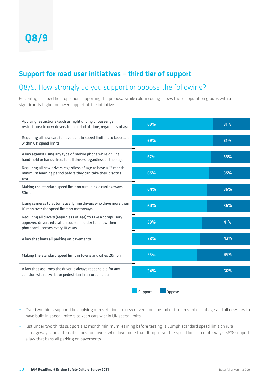#### Support for road user initiatives – third tier of support

#### Q8/9. How strongly do you support or oppose the following?

Percentages show the proportion supporting the proposal while colour coding shows those population groups with a significantly higher or lower support of the initiative.



- **•** Over two thirds support the applying of restrictions to new drivers for a period of time regardless of age and all new cars to have built-in speed limiters to keep cars within UK speed limits.
- **•** Just under two thirds support a 12 month minimum learning before testing, a 50mph standard speed limit on rural carriageways and automatic fines for drivers who drive more than 10mph over the speed limit on motorways. 58% support a law that bans all parking on pavements.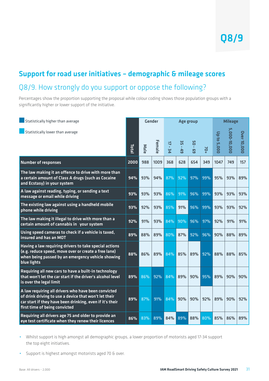### Support for road user initiatives – demographic & mileage scores Q8/9. How strongly do you support or oppose the following?

Percentages show the proportion supporting the proposal while colour coding shows those population groups with a significantly higher or lower support of the initiative.

| Statistically higher than average                                                                                                                                                                         |             |      | <b>Gender</b> |                                                           |                                       | Age group                            |     |             | <b>Mileage</b> |                    |
|-----------------------------------------------------------------------------------------------------------------------------------------------------------------------------------------------------------|-------------|------|---------------|-----------------------------------------------------------|---------------------------------------|--------------------------------------|-----|-------------|----------------|--------------------|
| Statistically lower than average                                                                                                                                                                          | <b>Lota</b> | Male | Female        | $\overline{a}$<br>$\mathbf{r}$<br>$\overline{\mathbf{u}}$ | ပ္ပ<br>$\mathbf{r}$<br>4 <sup>9</sup> | <b>SO</b><br>$\mathbf{r}$<br>ო<br>ნე | 70+ | Up to 5,000 | 5,000-10,000   | <b>Over 10,000</b> |
| <b>Number of responses</b>                                                                                                                                                                                | 2000        | 988  | 1009          | 368                                                       | 628                                   | 654                                  | 349 | 1047        | 749            | 157                |
| The law making it an offence to drive with more than<br>a certain amount of Class A drugs (such as Cocaine<br>and Ecstasy) in your system                                                                 | 94%         | 93%  | 94%           | 87%                                                       | 92%                                   | 97%                                  | 99% | 95%         | 93%            | 89%                |
| A law against reading, typing, or sending a text<br>message or email while driving                                                                                                                        | 93%         | 93%  | 93%           | 86%                                                       | 91%                                   | 96%                                  | 99% | 93%         | 93%            | 93%                |
| The existing law against using a handheld mobile<br>phone while driving                                                                                                                                   | 93%         | 92%  | 93%           | 85%                                                       | 91%                                   | 96%                                  | 99% | 93%         | 93%            | 92%                |
| The law making it illegal to drive with more than a<br>certain amount of cannabis in your system                                                                                                          | 92%         | 91%  | 93%           | 84%                                                       | 90%                                   | 96%                                  | 97% | 92%         | 91%            | 91%                |
| Using speed cameras to check if a vehicle is taxed,<br>insured and has an MOT                                                                                                                             | 89%         | 88%  | 89%           | 80%                                                       | 87%                                   | 92%                                  | 96% | 90%         | 88%            | 89%                |
| Having a law requiring drivers to take special actions<br>(e.g. reduce speed, move over or create a free lane)<br>when being passed by an emergency vehicle showing<br>blue lights                        | 88%         | 86%  | 89%           | 84%                                                       | 85%                                   | 89%                                  | 92% | 88%         | 88%            | 85%                |
| Requiring all new cars to have a built-in technology<br>that won't let the car start if the driver's alcohol level<br>is over the legal limit                                                             | 89%         | 86%  | 92%           | 84%                                                       | 89%                                   | 90%                                  | 95% | 89%         | 90%            | 90%                |
| A law requiring all drivers who have been convicted<br>of drink driving to use a device that won't let their<br>car start if they have been drinking, even if it's their<br>first time of being convicted | 89%         | 87%  | 91%           | 84%                                                       | 90%                                   | 90%                                  | 92% | 89%         | 90%            | 92%                |
| Requiring all drivers age 75 and older to provide an<br>eye test certificate when they renew their licences                                                                                               | 86%         | 83%  | 89%           | 84%                                                       | 89%                                   | 88%                                  | 80% | 85%         | 86%            | 89%                |

**•** Whilst support is high amongst all demographic groups, a lower proportion of motorists aged 17-34 support the top eight initiatives.

**•** Support is highest amongst motorists aged 70 & over.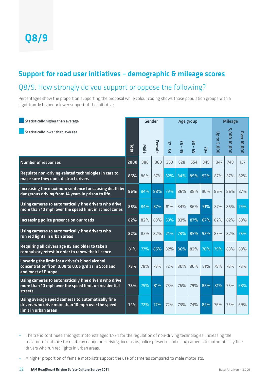### Support for road user initiatives – demographic & mileage scores Q8/9. How strongly do you support or oppose the following?

Percentages show the proportion supporting the proposal while colour coding shows those population groups with a significantly higher or lower support of the initiative.

| Statistically higher than average                                                                                              |             |            | Gender |                         |                           | Age group                           |     |             | <b>Mileage</b> |                    |
|--------------------------------------------------------------------------------------------------------------------------------|-------------|------------|--------|-------------------------|---------------------------|-------------------------------------|-----|-------------|----------------|--------------------|
| Statistically lower than average                                                                                               | Lota<br>cta | Male       | Female | ╗<br>$\mathbf{r}$<br>Σq | ပ္ပ<br>$\mathbf{r}$<br>45 | <b>DS</b><br>$\mathbf{r}$<br>ო<br>ნ | 70+ | Up to 5,000 | 5,000-10,000   | <b>Over 10,000</b> |
| <b>Number of responses</b>                                                                                                     | 2000        | 988        | 1009   | 369                     | 628                       | 654                                 | 349 | 1047        | 749            | 157                |
| Regulate non-driving-related technologies in cars to<br>make sure they don't distract drivers                                  | 86%         | 86%        | 87%    | 82%                     | 84%                       | 89%                                 | 92% | 87%         | 87%            | 82%                |
| Increasing the maximum sentence for causing death by<br>dangerous driving from 14 years in prison to life                      | 86%         | 84%        | 88%    | 79%                     | 86%                       | 88%                                 | 90% | 86%         | 86%            | 87%                |
| Using cameras to automatically fine drivers who drive<br>more than 10 mph over the speed limit in school zones                 | 85%         | 84%        | 87%    | 81%                     | 84%                       | 86%                                 | 91% | 87%         | 85%            | 79%                |
| Increasing police presence on our roads                                                                                        | 82%         | 82%        | 83%    | 69%                     | 83%                       | 87%                                 | 87% | 82%         | 82%            | 83%                |
| Using cameras to automatically fine drivers who<br>run red lights in urban areas                                               | 82%         | 82%        | 82%    | 74%                     | 78%                       | 85%                                 | 92% | 83%         | 82%            | 76%                |
| Requiring all drivers age 85 and older to take a<br>compulsory retest in order to renew their licence                          | 81%         | 77%        | 85%    | 82%                     | 86%                       | 82%                                 | 70% | 79%         | 83%            | 83%                |
| Lowering the limit for a driver's blood alcohol<br>concentration from 0.08 to 0.05 g/d as in Scotland<br>and most of Europe    | 79%         | <b>78%</b> | 79%    | 72%                     | 80%                       | 80%                                 | 81% | 79%         | <b>78%</b>     | 78%                |
| Using cameras to automatically fine drivers who drive<br>more than 10 mph over the speed limit on residential<br>streets       | 78%         | 75%        | 81%    | 73%                     | 76%                       | 79%                                 | 86% | 81%         | 76%            | 68%                |
| Using average speed cameras to automatically fine<br>drivers who drive more than 10 mph over the speed<br>limit in urban areas | 75%         | 72%        | 77%    | 72%                     | <b>73%</b>                | <b>74%</b>                          | 82% | 76%         | 75%            | 69%                |

- **•** The trend continues amongst motorists aged 17-34 for the regulation of non-driving technologies, increasing the maximum sentence for death by dangerous driving, increasing police presence and using cameras to automatically fine drivers who run red lights in urban areas.
- **•** A higher proportion of female motorists support the use of cameras compared to male motorists.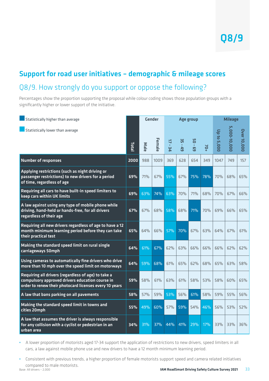### Support for road user initiatives – demographic & mileage scores Q8/9. How strongly do you support or oppose the following?

Percentages show the proportion supporting the proposal while colour coding shows those population groups with a significantly higher or lower support of the initiative.

| Statistically higher than average                                                                                                                                |             | <b>Gender</b> |        |              |                                     | Age group                      |     |             | <b>Mileage</b>    |                    |
|------------------------------------------------------------------------------------------------------------------------------------------------------------------|-------------|---------------|--------|--------------|-------------------------------------|--------------------------------|-----|-------------|-------------------|--------------------|
| Statistically lower than average                                                                                                                                 | <b>Tota</b> | Male          | Female | $17 -$<br>34 | 55<br>$\mathbf{r}$<br>$\frac{4}{9}$ | 95<br>$\mathbf{r}$<br><u>ფ</u> | 70+ | Up to 5,000 | UП<br>,000-10,000 | <b>Over 10,000</b> |
| <b>Number of responses</b>                                                                                                                                       | 2000        | 988           | 1009   | 369          | 628                                 | 654                            | 349 | 1047        | 749               | 157                |
| Applying restrictions (such as night driving or<br>passenger restrictions) to new drivers for a period<br>of time, regardless of age                             | 69%         | 71%           | 67%    | 55%          | 67%                                 | 75%                            | 78% | 70%         | 68%               | 65%                |
| Requiring all cars to have built-in speed limiters to<br>keep cars within UK limits                                                                              | 69%         | 63%           | 74%    | 63%          | <b>70%</b>                          | <b>71%</b>                     | 68% | 70%         | 67%               | 66%                |
| A law against using any type of mobile phone while<br>driving, hand-held or hands-free, for all drivers<br>regardless of their age                               | 67%         | 67%           | 68%    | 58%          | 68%                                 | 71%                            | 70% | 69%         | 66%               | 65%                |
| Requiring all new drivers regardless of age to have a 12<br>month minimum learning period before they can take<br>their practical test                           | 65%         | 64%           | 66%    | 57%          | 70%                                 | 67%                            | 63% | 64%         | 67%               | 61%                |
| Making the standard speed limit on rural single<br>carriageways 50mph                                                                                            | 64%         | 61%           | 67%    | 62%          | 63%                                 | 66%                            | 66% | 66%         | 62%               | 62%                |
| Using cameras to automatically fine drivers who drive<br>more than 10 mph over the speed limit on motorways                                                      | 64%         | 59%           | 68%    | 61%          | 65%                                 | 62%                            | 68% | 65%         | 63%               | 58%                |
| Requiring all drivers (regardless of age) to take a<br>compulsory approved drivers education course in<br>order to renew their photocard licenses every 10 years | 59%         | 58%           | 61%    | 63%          | 61%                                 | 58%                            | 53% | 58%         | 60%               | 65%                |
| A law that bans parking on all pavements                                                                                                                         | 58%         | 57%           | 59%    | 53%          | 56%                                 | 61%                            | 58% | 59%         | 55%               | 56%                |
| Making the standard speed limit in towns and<br>cities 20mph                                                                                                     | 55%         | 49%           | 60%    | 57%          | 59%                                 | 54%                            | 46% | 56%         | 53%               | 52%                |
| A law that assumes the driver is always responsible<br>for any collision with a cyclist or pedestrian in an<br>urban area                                        | 34%         | 31%           | 37%    | 44%          | 41%                                 | 29%                            | 17% | 33%         | 33%               | 36%                |

**•** A lower proportion of motorists aged 17-34 support the application of restrictions to new drivers, speed limiters in all cars, a law against mobile phone use and new drivers to have a 12 month minimum learning period.

Base: All drivers – 2,000 **IAM RoadSmart Driving Safety Culture Survey 2021** 33 **•** Consistent with previous trends, a higher proportion of female motorists support speed and camera related initiatives compared to male motorists.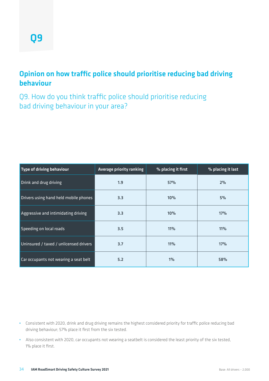#### Opinion on how traffic police should prioritise reducing bad driving behaviour

Q9. How do you think traffic police should prioritise reducing bad driving behaviour in your area?

| Type of driving behaviour              | Average priority ranking | % placing it first | % placing it last |
|----------------------------------------|--------------------------|--------------------|-------------------|
| Drink and drug driving                 | 1.9                      | 57%                | 2%                |
| Drivers using hand held mobile phones  | 3.3                      | 10%                | 5%                |
| Aggressive and intimidating driving    | 3.3                      | 10%                | 17%               |
| Speeding on local roads                | 3.5                      | 11%                | <b>11%</b>        |
| Uninsured / taxed / unlicensed drivers | 3.7                      | 11%                | 17%               |
| Car occupants not wearing a seat belt  | 5.2                      | $1\%$              | 58%               |

- **•** Consistent with 2020, drink and drug driving remains the highest considered priority for traffic police reducing bad driving behaviour; 57% place it first from the six tested.
- **•** Also consistent with 2020, car occupants not wearing a seatbelt is considered the least priority of the six tested, 1% place it first.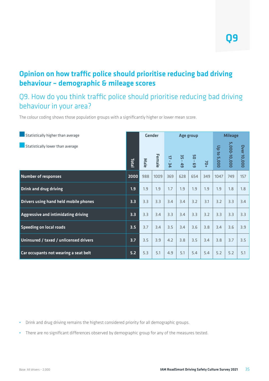#### Opinion on how traffic police should prioritise reducing bad driving behaviour – demographic & mileage scores

#### Q9. How do you think traffic police should prioritise reducing bad driving behaviour in your area?

The colour coding shows those population groups with a significantly higher or lower mean score.

| Statistically higher than average      | <b>Gender</b> |      |        |                                     | Age group   |            |     |             | <b>Mileage</b> |             |  |  |
|----------------------------------------|---------------|------|--------|-------------------------------------|-------------|------------|-----|-------------|----------------|-------------|--|--|
| Statistically lower than average       | Total         | Male | Female | $\overline{u}$<br>$\sim 10^7$<br>ΣÁ | ូម<br>$-49$ | 50<br>69 - | 70+ | Up to 5,000 | 5,000-10,000   | Over 10,000 |  |  |
|                                        |               |      |        |                                     |             |            |     |             |                |             |  |  |
| <b>Number of responses</b>             | 2000          | 988  | 1009   | 369                                 | 628         | 654        | 349 | 1047        | 749            | 157         |  |  |
| <b>Drink and drug driving</b>          | 1.9           | 1.9  | 1.9    | 1.7                                 | 1.9         | 1.9        | 1.9 | 1.9         | 1.8            | 1.8         |  |  |
| Drivers using hand held mobile phones  | 3.3           | 3.3  | 3.3    | 3.4                                 | 3.4         | 3.2        | 3.1 | 3.2         | 3.3            | 3.4         |  |  |
| Aggressive and intimidating driving    | 3.3           | 3.3  | 3.4    | 3.3                                 | 3.4         | 3.3        | 3.2 | 3.3         | 3.3            | 3.3         |  |  |
| <b>Speeding on local roads</b>         | 3.5           | 3.7  | 3.4    | 3.5                                 | 3.4         | 3.6        | 3.8 | 3.4         | 3.6            | 3.9         |  |  |
| Uninsured / taxed / unlicensed drivers | 3.7           | 3.5  | 3.9    | 4.2                                 | 3.8         | 3.5        | 3.4 | 3.8         | 3.7            | 3.5         |  |  |
| Car occupants not wearing a seat belt  | 5.2           | 5.3  | 5.1    | 4.9                                 | 5.1         | 5.4        | 5.4 | 5.2         | 5.2            | 5.1         |  |  |

**•** Drink and drug driving remains the highest considered priority for all demographic groups.

**•** There are no significant differences observed by demographic group for any of the measures tested.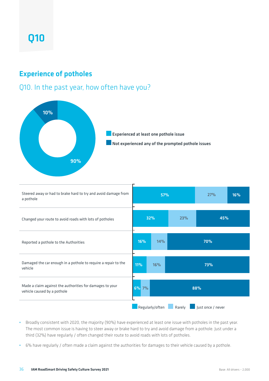### Q10

#### Experience of potholes

#### Q10. In the past year, how often have you?





- **•** Broadly consistent with 2020, the majority (90%) have experienced at least one issue with potholes in the past year. The most common issue is having to steer away or brake hard to try and avoid damage from a pothole. Just under a third (32%) have regularly / often changed their route to avoid roads with lots of potholes.
- **•** 6% have regularly / often made a claim against the authorities for damages to their vehicle caused by a pothole.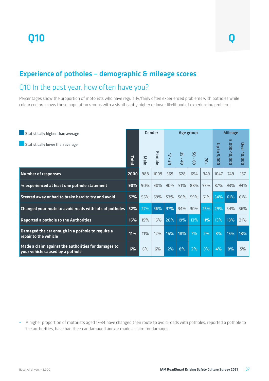## Q10 Q

#### Experience of potholes – demographic & mileage scores

#### Q10 In the past year, how often have you?

Percentages show the proportion of motorists who have regularly/fairly often experienced problems with potholes while colour coding shows those population groups with a significantly higher or lower likelihood of experiencing problems

| Statistically higher than average                                                       |            | <b>Gender</b> |        | Age group                           |                           |            |       | <b>Mileage</b> |              |                    |
|-----------------------------------------------------------------------------------------|------------|---------------|--------|-------------------------------------|---------------------------|------------|-------|----------------|--------------|--------------------|
| Statistically lower than average                                                        | Total      | Male          | Female | $\overline{a}$<br>$\mathbf{L}$<br>Ξ | ဌ<br>$\mathbf{L}$ .<br>49 | SO<br>69 - | $70+$ | Up to 5,000    | 5,000-10,000 | <b>Over 10,000</b> |
| <b>Number of responses</b>                                                              | 2000       | 988           | 1009   | 369                                 | 628                       | 654        | 349   | 1047           | 749          | 157                |
| % experienced at least one pothole statement                                            | 90%        | 90%           | 90%    | 90%                                 | 91%                       | 88%        | 93%   | 87%            | 93%          | 94%                |
| Steered away or had to brake hard to try and avoid                                      | 57%        | 56%           | 59%    | 53%                                 | 56%                       | 59%        | 61%   | 54%            | 61%          | 61%                |
| Changed your route to avoid roads with lots of potholes                                 | 32%        | 27%           | 36%    | 37%                                 | 34%                       | 30%        | 25%   | 29%            | 34%          | 36%                |
| <b>Reported a pothole to the Authorities</b>                                            | 16%        | 15%           | 16%    | 20%                                 | 19%                       | 13%        | 11%   | 13%            | 18%          | 21%                |
| Damaged the car enough in a pothole to require a<br>repair to the vehicle               | <b>11%</b> | 11%           | 12%    | 16%                                 | 18%                       | 7%         | 2%    | 8%             | 15%          | 18%                |
| Made a claim against the authorities for damages to<br>your vehicle caused by a pothole | 6%         | 6%            | 6%     | 12%                                 | 8%                        | 2%         | 0%    | 4%             | 8%           | $5\%$              |

**•** A higher proportion of motorists aged 17-34 have changed their route to avoid roads with potholes, reported a pothole to the authorities, have had their car damaged and/or made a claim for damages.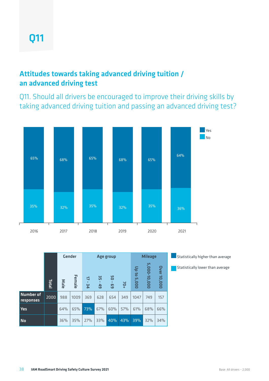#### Attitudes towards taking advanced driving tuition / an advanced driving test

Q11. Should all drivers be encouraged to improve their driving skills by taking advanced driving tuition and passing an advanced driving test?



|                               |             | <b>Gender</b> |        |            | Age group              | <b>Mileage</b> |       |                                           |              |                    |
|-------------------------------|-------------|---------------|--------|------------|------------------------|----------------|-------|-------------------------------------------|--------------|--------------------|
|                               | <b>Tota</b> | Male          | Female | 4<br>ΨĒ    | ပ္ပ<br>$\overline{49}$ | 5O<br><b>G</b> | $+0+$ | $\overline{a}$<br>$\overline{a}$<br>5,000 | 5,000-10,000 | <b>Dver 10,000</b> |
| <b>Number of</b><br>responses | 2000        | 988           | 1009   | 369        | 628                    | 654            | 349   | 1047                                      | 749          | 157                |
| <b>Yes</b>                    |             | 64%           | 65%    | <b>73%</b> | 67%                    | 60%            | 57%   | 61%                                       | 68%          | 66%                |
| <b>No</b>                     |             | 36%           | 35%    | 27%        | 33%                    | 40%            | 43%   | 39%                                       | 32%          | 34%                |

**Statistically higher than average** 

**Statistically lower than average**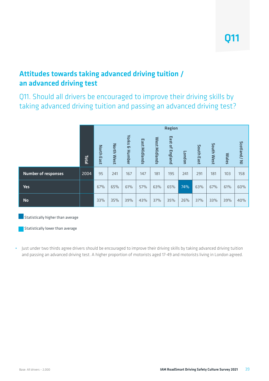#### Attitudes towards taking advanced driving tuition / an advanced driving test

Q11. Should all drivers be encouraged to improve their driving skills by taking advanced driving tuition and passing an advanced driving test?

|                            |       | <b>Region</b>     |                      |                                     |                      |               |                                        |        |                      |                      |              |             |
|----------------------------|-------|-------------------|----------------------|-------------------------------------|----------------------|---------------|----------------------------------------|--------|----------------------|----------------------|--------------|-------------|
|                            | Total | <b>North East</b> | <b>North</b><br>West | <b>Yorks</b><br><b>&amp; Hunber</b> | <b>East Midlands</b> | West Midlands | East<br>$\mathbf{a}$<br><b>England</b> | London | South<br><b>East</b> | South<br><b>West</b> | <b>Wales</b> | Scotland/NI |
| <b>Number of responses</b> | 2004  | 95                | 241                  | 167                                 | 147                  | 181           | 195                                    | 241    | 291                  | 181                  | 103          | 158         |
| <b>Yes</b>                 |       | 67%               | 65%                  | 61%                                 | 57%                  | 63%           | 65%                                    | 74%    | 63%                  | 67%                  | 61%          | 60%         |
| <b>No</b>                  |       | 33%               | 35%                  | 39%                                 | 43%                  | 37%           | 35%                                    | 26%    | 37%                  | 33%                  | 39%          | 40%         |

**Statistically higher than average** 

Statistically lower than average

**•** Just under two thirds agree drivers should be encouraged to improve their driving skills by taking advanced driving tuition and passing an advanced driving test. A higher proportion of motorists aged 17-49 and motorists living in London agreed.